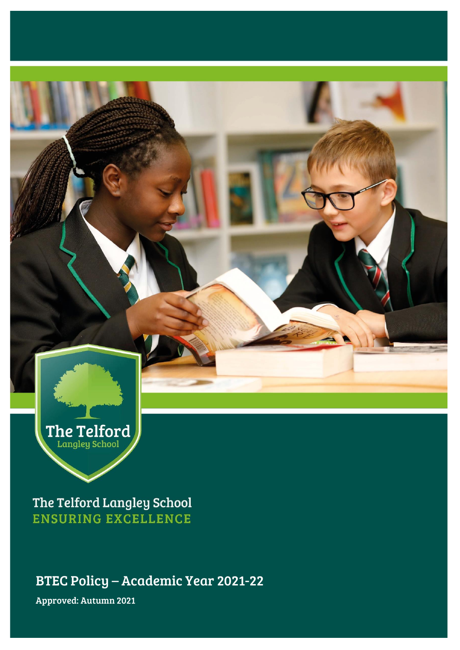

The Telford Langley School **ENSURING EXCELLENCE** 

BTEC Policy – Academic Year 2021-22

Approved: Autumn 2021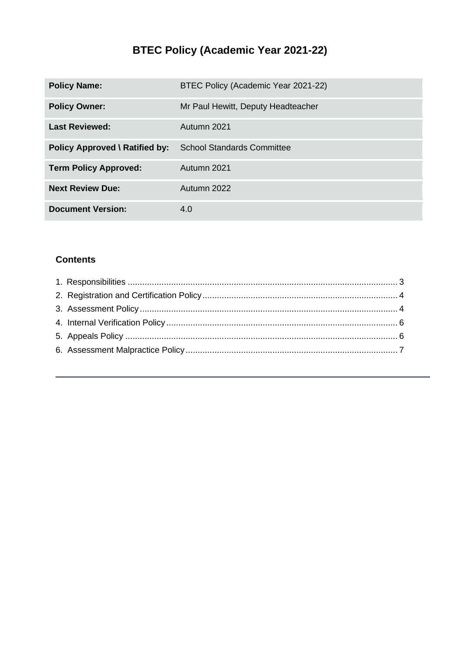# **BTEC Policy (Academic Year 2021-22)**

| <b>Policy Name:</b>                   | BTEC Policy (Academic Year 2021-22) |
|---------------------------------------|-------------------------------------|
| <b>Policy Owner:</b>                  | Mr Paul Hewitt, Deputy Headteacher  |
| <b>Last Reviewed:</b>                 | Autumn 2021                         |
| <b>Policy Approved \ Ratified by:</b> | <b>School Standards Committee</b>   |
| <b>Term Policy Approved:</b>          | Autumn 2021                         |
| <b>Next Review Due:</b>               | Autumn 2022                         |
| <b>Document Version:</b>              | 4.0                                 |

# **Contents**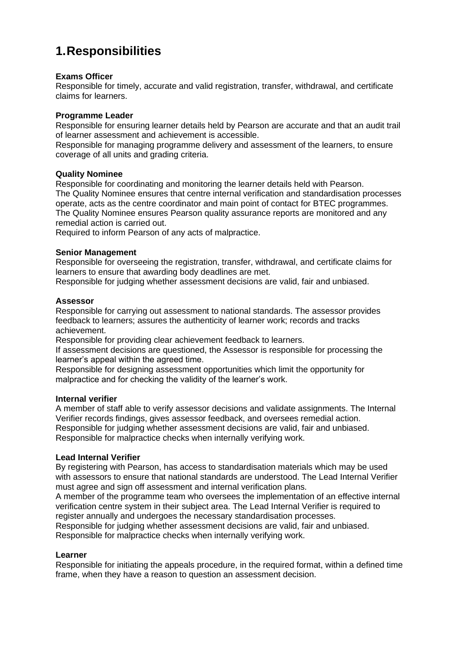# <span id="page-2-0"></span>**1.Responsibilities**

## **Exams Officer**

Responsible for timely, accurate and valid registration, transfer, withdrawal, and certificate claims for learners.

### **Programme Leader**

Responsible for ensuring learner details held by Pearson are accurate and that an audit trail of learner assessment and achievement is accessible.

Responsible for managing programme delivery and assessment of the learners, to ensure coverage of all units and grading criteria.

#### **Quality Nominee**

Responsible for coordinating and monitoring the learner details held with Pearson. The Quality Nominee ensures that centre internal verification and standardisation processes operate, acts as the centre coordinator and main point of contact for BTEC programmes. The Quality Nominee ensures Pearson quality assurance reports are monitored and any remedial action is carried out.

Required to inform Pearson of any acts of malpractice.

### **Senior Management**

Responsible for overseeing the registration, transfer, withdrawal, and certificate claims for learners to ensure that awarding body deadlines are met.

Responsible for judging whether assessment decisions are valid, fair and unbiased.

#### **Assessor**

Responsible for carrying out assessment to national standards. The assessor provides feedback to learners; assures the authenticity of learner work; records and tracks achievement.

Responsible for providing clear achievement feedback to learners.

If assessment decisions are questioned, the Assessor is responsible for processing the learner's appeal within the agreed time.

Responsible for designing assessment opportunities which limit the opportunity for malpractice and for checking the validity of the learner's work.

#### **Internal verifier**

A member of staff able to verify assessor decisions and validate assignments. The Internal Verifier records findings, gives assessor feedback, and oversees remedial action. Responsible for judging whether assessment decisions are valid, fair and unbiased. Responsible for malpractice checks when internally verifying work.

### **Lead Internal Verifier**

By registering with Pearson, has access to standardisation materials which may be used with assessors to ensure that national standards are understood. The Lead Internal Verifier must agree and sign off assessment and internal verification plans.

A member of the programme team who oversees the implementation of an effective internal verification centre system in their subject area. The Lead Internal Verifier is required to register annually and undergoes the necessary standardisation processes.

Responsible for judging whether assessment decisions are valid, fair and unbiased. Responsible for malpractice checks when internally verifying work.

### **Learner**

Responsible for initiating the appeals procedure, in the required format, within a defined time frame, when they have a reason to question an assessment decision.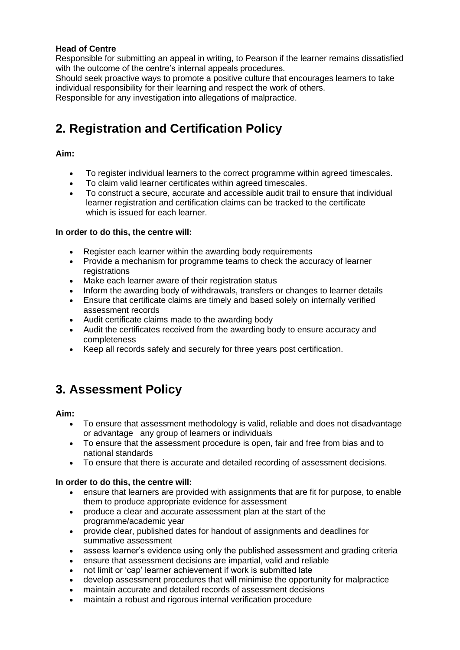### **Head of Centre**

Responsible for submitting an appeal in writing, to Pearson if the learner remains dissatisfied with the outcome of the centre's internal appeals procedures.

Should seek proactive ways to promote a positive culture that encourages learners to take individual responsibility for their learning and respect the work of others.

Responsible for any investigation into allegations of malpractice.

# <span id="page-3-0"></span>**2. Registration and Certification Policy**

## **Aim:**

- To register individual learners to the correct programme within agreed timescales.
- To claim valid learner certificates within agreed timescales.
- To construct a secure, accurate and accessible audit trail to ensure that individual learner registration and certification claims can be tracked to the certificate which is issued for each learner.

## **In order to do this, the centre will:**

- Register each learner within the awarding body requirements
- Provide a mechanism for programme teams to check the accuracy of learner registrations
- Make each learner aware of their registration status
- Inform the awarding body of withdrawals, transfers or changes to learner details
- Ensure that certificate claims are timely and based solely on internally verified assessment records
- Audit certificate claims made to the awarding body
- Audit the certificates received from the awarding body to ensure accuracy and completeness
- Keep all records safely and securely for three years post certification.

# <span id="page-3-1"></span>**3. Assessment Policy**

### **Aim:**

- To ensure that assessment methodology is valid, reliable and does not disadvantage or advantage any group of learners or individuals
- To ensure that the assessment procedure is open, fair and free from bias and to national standards
- To ensure that there is accurate and detailed recording of assessment decisions.

### **In order to do this, the centre will:**

- ensure that learners are provided with assignments that are fit for purpose, to enable them to produce appropriate evidence for assessment
- produce a clear and accurate assessment plan at the start of the programme/academic year
- provide clear, published dates for handout of assignments and deadlines for summative assessment
- assess learner's evidence using only the published assessment and grading criteria
- ensure that assessment decisions are impartial, valid and reliable
- not limit or 'cap' learner achievement if work is submitted late
- develop assessment procedures that will minimise the opportunity for malpractice
- maintain accurate and detailed records of assessment decisions
- maintain a robust and rigorous internal verification procedure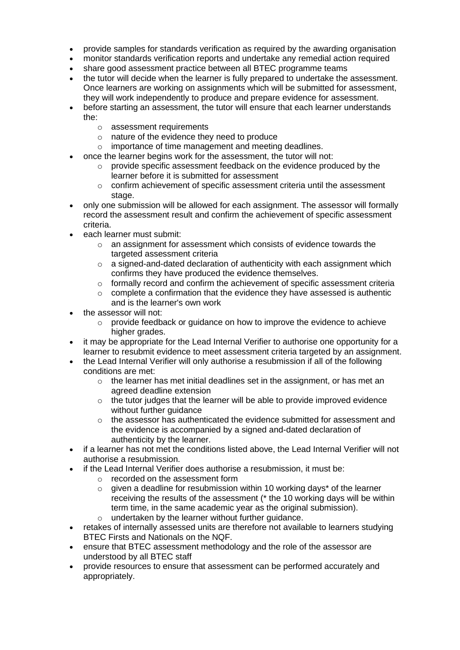- provide samples for standards verification as required by the awarding organisation
- monitor standards verification reports and undertake any remedial action required
- share good assessment practice between all BTEC programme teams
- the tutor will decide when the learner is fully prepared to undertake the assessment. Once learners are working on assignments which will be submitted for assessment, they will work independently to produce and prepare evidence for assessment.
- before starting an assessment, the tutor will ensure that each learner understands the:
	- o assessment requirements
	- o nature of the evidence they need to produce
	- o importance of time management and meeting deadlines.
- once the learner begins work for the assessment, the tutor will not:
	- $\circ$  provide specific assessment feedback on the evidence produced by the learner before it is submitted for assessment
	- $\circ$  confirm achievement of specific assessment criteria until the assessment stage.
- only one submission will be allowed for each assignment. The assessor will formally record the assessment result and confirm the achievement of specific assessment criteria.
- each learner must submit:
	- o an assignment for assessment which consists of evidence towards the targeted assessment criteria
	- $\circ$  a signed-and-dated declaration of authenticity with each assignment which confirms they have produced the evidence themselves.
	- $\circ$  formally record and confirm the achievement of specific assessment criteria
	- $\circ$  complete a confirmation that the evidence they have assessed is authentic and is the learner's own work
- the assessor will not:
	- $\circ$  provide feedback or quidance on how to improve the evidence to achieve higher grades.
- it may be appropriate for the Lead Internal Verifier to authorise one opportunity for a learner to resubmit evidence to meet assessment criteria targeted by an assignment.
- the Lead Internal Verifier will only authorise a resubmission if all of the following conditions are met:
	- $\circ$  the learner has met initial deadlines set in the assignment, or has met an agreed deadline extension
	- $\circ$  the tutor judges that the learner will be able to provide improved evidence without further quidance
	- $\circ$  the assessor has authenticated the evidence submitted for assessment and the evidence is accompanied by a signed and-dated declaration of authenticity by the learner.
- if a learner has not met the conditions listed above, the Lead Internal Verifier will not authorise a resubmission.
- if the Lead Internal Verifier does authorise a resubmission, it must be:
	- o recorded on the assessment form
	- $\circ$  given a deadline for resubmission within 10 working days\* of the learner receiving the results of the assessment (\* the 10 working days will be within term time, in the same academic year as the original submission). o undertaken by the learner without further guidance.
- retakes of internally assessed units are therefore not available to learners studying BTEC Firsts and Nationals on the NQF.
- ensure that BTEC assessment methodology and the role of the assessor are understood by all BTEC staff
- provide resources to ensure that assessment can be performed accurately and appropriately.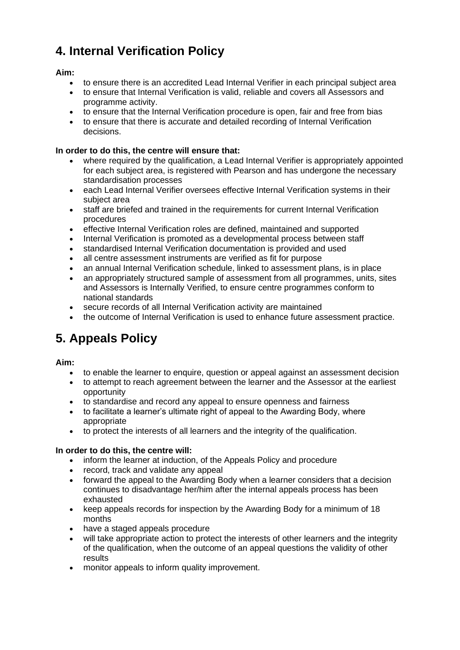# <span id="page-5-0"></span>**4. Internal Verification Policy**

# **Aim:**

- to ensure there is an accredited Lead Internal Verifier in each principal subject area
- to ensure that Internal Verification is valid, reliable and covers all Assessors and programme activity.
- to ensure that the Internal Verification procedure is open, fair and free from bias
- to ensure that there is accurate and detailed recording of Internal Verification decisions.

## **In order to do this, the centre will ensure that:**

- where required by the qualification, a Lead Internal Verifier is appropriately appointed for each subject area, is registered with Pearson and has undergone the necessary standardisation processes
- each Lead Internal Verifier oversees effective Internal Verification systems in their subject area
- staff are briefed and trained in the requirements for current Internal Verification procedures
- effective Internal Verification roles are defined, maintained and supported
- Internal Verification is promoted as a developmental process between staff
- standardised Internal Verification documentation is provided and used
- all centre assessment instruments are verified as fit for purpose
- an annual Internal Verification schedule, linked to assessment plans, is in place
- an appropriately structured sample of assessment from all programmes, units, sites and Assessors is Internally Verified, to ensure centre programmes conform to national standards
- secure records of all Internal Verification activity are maintained
- the outcome of Internal Verification is used to enhance future assessment practice.

# <span id="page-5-1"></span>**5. Appeals Policy**

### **Aim:**

- to enable the learner to enquire, question or appeal against an assessment decision
- to attempt to reach agreement between the learner and the Assessor at the earliest opportunity
- to standardise and record any appeal to ensure openness and fairness
- to facilitate a learner's ultimate right of appeal to the Awarding Body, where appropriate
- to protect the interests of all learners and the integrity of the qualification.

### **In order to do this, the centre will:**

- inform the learner at induction, of the Appeals Policy and procedure
- record, track and validate any appeal
- forward the appeal to the Awarding Body when a learner considers that a decision continues to disadvantage her/him after the internal appeals process has been exhausted
- keep appeals records for inspection by the Awarding Body for a minimum of 18 months
- have a staged appeals procedure
- will take appropriate action to protect the interests of other learners and the integrity of the qualification, when the outcome of an appeal questions the validity of other results
- monitor appeals to inform quality improvement.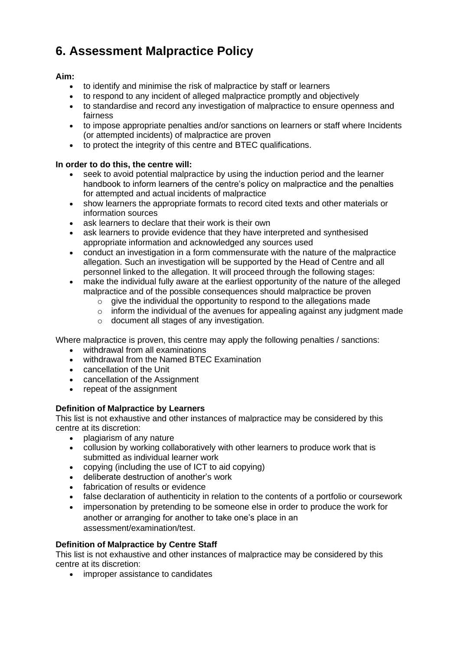# <span id="page-6-0"></span>**6. Assessment Malpractice Policy**

# **Aim:**

- to identify and minimise the risk of malpractice by staff or learners
- to respond to any incident of alleged malpractice promptly and objectively
- to standardise and record any investigation of malpractice to ensure openness and fairness
- to impose appropriate penalties and/or sanctions on learners or staff where Incidents (or attempted incidents) of malpractice are proven
- to protect the integrity of this centre and BTEC qualifications.

# **In order to do this, the centre will:**

- seek to avoid potential malpractice by using the induction period and the learner handbook to inform learners of the centre's policy on malpractice and the penalties for attempted and actual incidents of malpractice
- show learners the appropriate formats to record cited texts and other materials or information sources
- ask learners to declare that their work is their own
- ask learners to provide evidence that they have interpreted and synthesised appropriate information and acknowledged any sources used
- conduct an investigation in a form commensurate with the nature of the malpractice allegation. Such an investigation will be supported by the Head of Centre and all personnel linked to the allegation. It will proceed through the following stages:
- make the individual fully aware at the earliest opportunity of the nature of the alleged malpractice and of the possible consequences should malpractice be proven
	- $\circ$  give the individual the opportunity to respond to the allegations made
	- o inform the individual of the avenues for appealing against any judgment made
	- o document all stages of any investigation.

Where malpractice is proven, this centre may apply the following penalties / sanctions:

- withdrawal from all examinations
- withdrawal from the Named BTEC Examination
- cancellation of the Unit
- cancellation of the Assignment
- repeat of the assignment

# **Definition of Malpractice by Learners**

This list is not exhaustive and other instances of malpractice may be considered by this centre at its discretion:

- plagiarism of any nature
- collusion by working collaboratively with other learners to produce work that is submitted as individual learner work
- copying (including the use of ICT to aid copying)
- deliberate destruction of another's work
- fabrication of results or evidence
- false declaration of authenticity in relation to the contents of a portfolio or coursework
- impersonation by pretending to be someone else in order to produce the work for another or arranging for another to take one's place in an assessment/examination/test.

# **Definition of Malpractice by Centre Staff**

This list is not exhaustive and other instances of malpractice may be considered by this centre at its discretion:

• improper assistance to candidates